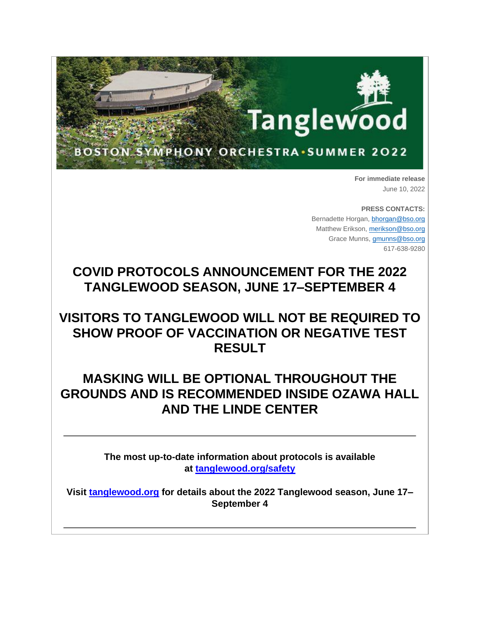

**For immediate release** June 10, 2022

**PRESS CONTACTS:** Bernadette Horgan, [bhorgan@bso.org](mailto:bhorgan@bso.org) Matthew Erikson, [merikson@bso.org](mailto:merikson@bso.org) Grace Munns, [gmunns@bso.org](mailto:gmunns@bso.org) 617-638-9280

# **COVID PROTOCOLS ANNOUNCEMENT FOR THE 2022 TANGLEWOOD SEASON, JUNE 17–SEPTEMBER 4**

## **VISITORS TO TANGLEWOOD WILL NOT BE REQUIRED TO SHOW PROOF OF VACCINATION OR NEGATIVE TEST RESULT**

## **MASKING WILL BE OPTIONAL THROUGHOUT THE GROUNDS AND IS RECOMMENDED INSIDE OZAWA HALL AND THE LINDE CENTER**

**The most up-to-date information about protocols is available at [tanglewood.org/safety](https://www.bso.org/tanglewood/visit/when-youre-here/safety)**

**Visit [tanglewood.org](https://www.bso.org/tanglewood) for details about the 2022 Tanglewood season, June 17– September 4**